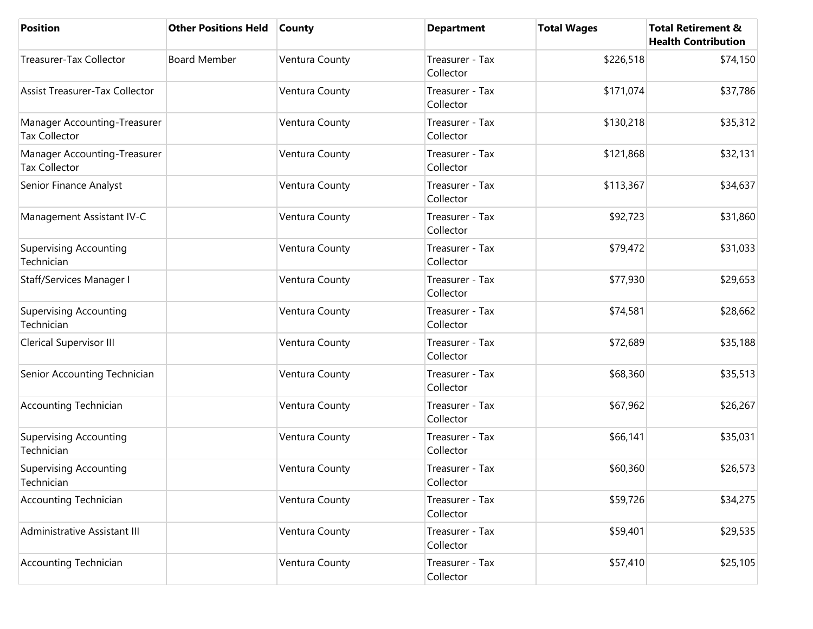| <b>Position</b>                                      | <b>Other Positions Held</b> | <b>County</b>  | <b>Department</b>            | <b>Total Wages</b> | <b>Total Retirement &amp;</b><br><b>Health Contribution</b> |
|------------------------------------------------------|-----------------------------|----------------|------------------------------|--------------------|-------------------------------------------------------------|
| <b>Treasurer-Tax Collector</b>                       | <b>Board Member</b>         | Ventura County | Treasurer - Tax<br>Collector | \$226,518          | \$74,150                                                    |
| <b>Assist Treasurer-Tax Collector</b>                |                             | Ventura County | Treasurer - Tax<br>Collector | \$171,074          | \$37,786                                                    |
| Manager Accounting-Treasurer<br><b>Tax Collector</b> |                             | Ventura County | Treasurer - Tax<br>Collector | \$130,218          | \$35,312                                                    |
| Manager Accounting-Treasurer<br><b>Tax Collector</b> |                             | Ventura County | Treasurer - Tax<br>Collector | \$121,868          | \$32,131                                                    |
| Senior Finance Analyst                               |                             | Ventura County | Treasurer - Tax<br>Collector | \$113,367          | \$34,637                                                    |
| Management Assistant IV-C                            |                             | Ventura County | Treasurer - Tax<br>Collector | \$92,723           | \$31,860                                                    |
| <b>Supervising Accounting</b><br>Technician          |                             | Ventura County | Treasurer - Tax<br>Collector | \$79,472           | \$31,033                                                    |
| Staff/Services Manager I                             |                             | Ventura County | Treasurer - Tax<br>Collector | \$77,930           | \$29,653                                                    |
| <b>Supervising Accounting</b><br>Technician          |                             | Ventura County | Treasurer - Tax<br>Collector | \$74,581           | \$28,662                                                    |
| <b>Clerical Supervisor III</b>                       |                             | Ventura County | Treasurer - Tax<br>Collector | \$72,689           | \$35,188                                                    |
| Senior Accounting Technician                         |                             | Ventura County | Treasurer - Tax<br>Collector | \$68,360           | \$35,513                                                    |
| <b>Accounting Technician</b>                         |                             | Ventura County | Treasurer - Tax<br>Collector | \$67,962           | \$26,267                                                    |
| <b>Supervising Accounting</b><br>Technician          |                             | Ventura County | Treasurer - Tax<br>Collector | \$66,141           | \$35,031                                                    |
| <b>Supervising Accounting</b><br>Technician          |                             | Ventura County | Treasurer - Tax<br>Collector | \$60,360           | \$26,573                                                    |
| <b>Accounting Technician</b>                         |                             | Ventura County | Treasurer - Tax<br>Collector | \$59,726           | \$34,275                                                    |
| Administrative Assistant III                         |                             | Ventura County | Treasurer - Tax<br>Collector | \$59,401           | \$29,535                                                    |
| <b>Accounting Technician</b>                         |                             | Ventura County | Treasurer - Tax<br>Collector | \$57,410           | \$25,105                                                    |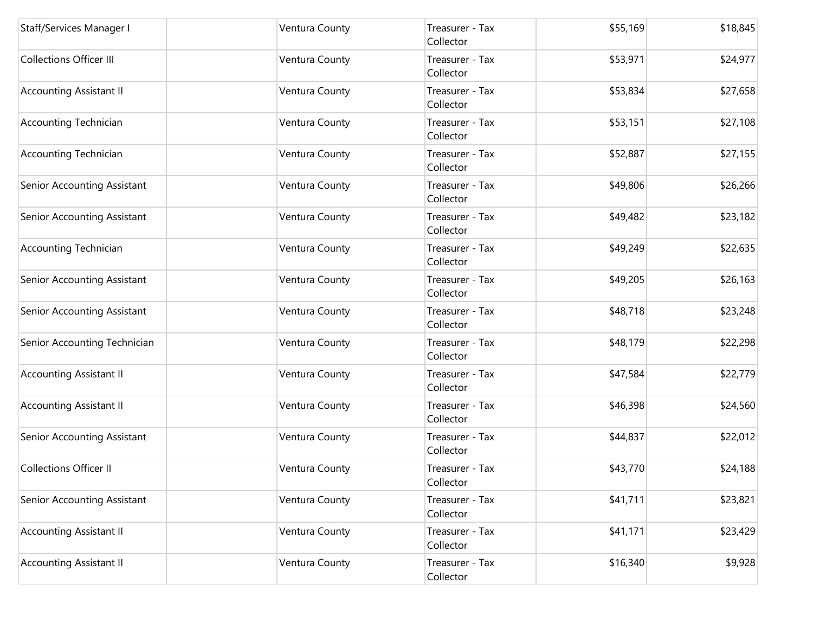| Staff/Services Manager I       | Ventura County | Treasurer - Tax<br>Collector | \$55,169 | \$18,845 |
|--------------------------------|----------------|------------------------------|----------|----------|
| <b>Collections Officer III</b> | Ventura County | Treasurer - Tax<br>Collector | \$53,971 | \$24,977 |
| <b>Accounting Assistant II</b> | Ventura County | Treasurer - Tax<br>Collector | \$53,834 | \$27,658 |
| <b>Accounting Technician</b>   | Ventura County | Treasurer - Tax<br>Collector | \$53,151 | \$27,108 |
| <b>Accounting Technician</b>   | Ventura County | Treasurer - Tax<br>Collector | \$52,887 | \$27,155 |
| Senior Accounting Assistant    | Ventura County | Treasurer - Tax<br>Collector | \$49,806 | \$26,266 |
| Senior Accounting Assistant    | Ventura County | Treasurer - Tax<br>Collector | \$49,482 | \$23,182 |
| <b>Accounting Technician</b>   | Ventura County | Treasurer - Tax<br>Collector | \$49,249 | \$22,635 |
| Senior Accounting Assistant    | Ventura County | Treasurer - Tax<br>Collector | \$49,205 | \$26,163 |
| Senior Accounting Assistant    | Ventura County | Treasurer - Tax<br>Collector | \$48,718 | \$23,248 |
| Senior Accounting Technician   | Ventura County | Treasurer - Tax<br>Collector | \$48,179 | \$22,298 |
| <b>Accounting Assistant II</b> | Ventura County | Treasurer - Tax<br>Collector | \$47,584 | \$22,779 |
| <b>Accounting Assistant II</b> | Ventura County | Treasurer - Tax<br>Collector | \$46,398 | \$24,560 |
| Senior Accounting Assistant    | Ventura County | Treasurer - Tax<br>Collector | \$44,837 | \$22,012 |
| <b>Collections Officer II</b>  | Ventura County | Treasurer - Tax<br>Collector | \$43,770 | \$24,188 |
| Senior Accounting Assistant    | Ventura County | Treasurer - Tax<br>Collector | \$41,711 | \$23,821 |
| <b>Accounting Assistant II</b> | Ventura County | Treasurer - Tax<br>Collector | \$41,171 | \$23,429 |
| <b>Accounting Assistant II</b> | Ventura County | Treasurer - Tax<br>Collector | \$16,340 | \$9,928  |